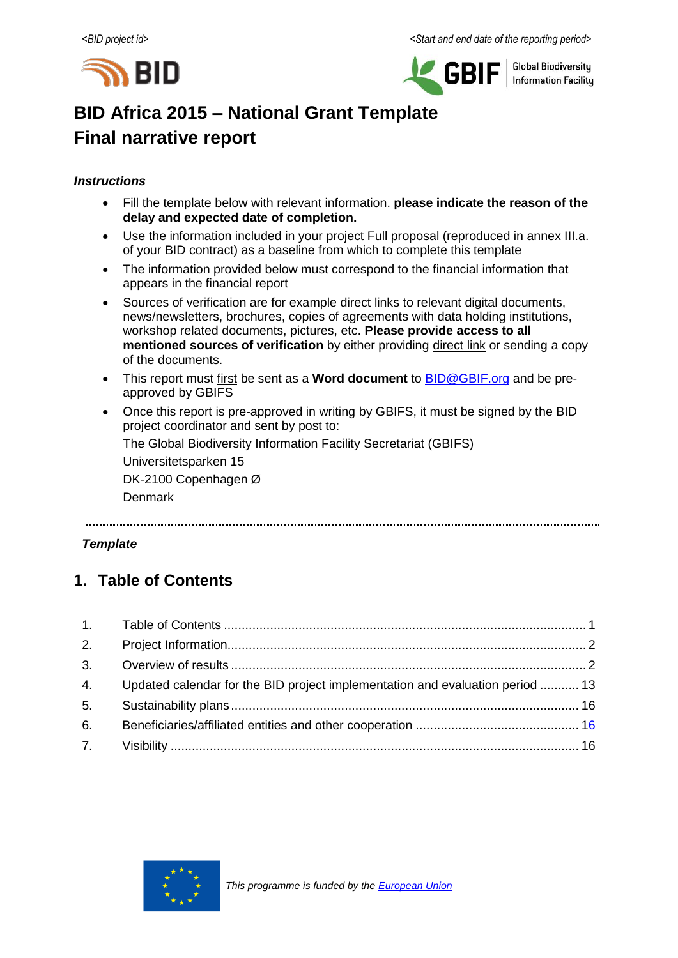



**Global Biodiversity Information Facilitu** 

# **BID Africa 2015 – National Grant Template Final narrative report**

## *Instructions*

- Fill the template below with relevant information. **please indicate the reason of the delay and expected date of completion.**
- Use the information included in your project Full proposal (reproduced in annex III.a. of your BID contract) as a baseline from which to complete this template
- The information provided below must correspond to the financial information that appears in the financial report
- Sources of verification are for example direct links to relevant digital documents, news/newsletters, brochures, copies of agreements with data holding institutions, workshop related documents, pictures, etc. **Please provide access to all mentioned sources of verification** by either providing direct link or sending a copy of the documents.
- This report must first be sent as a **Word document** to **BID@GBIF.org** and be preapproved by GBIFS
- Once this report is pre-approved in writing by GBIFS, it must be signed by the BID project coordinator and sent by post to:

The Global Biodiversity Information Facility Secretariat (GBIFS)

Universitetsparken 15 DK-2100 Copenhagen Ø

Denmark

#### *Template*

# <span id="page-0-0"></span>**1. Table of Contents**

| 2. |                                                                               |  |
|----|-------------------------------------------------------------------------------|--|
| 3. |                                                                               |  |
| 4. | Updated calendar for the BID project implementation and evaluation period  13 |  |
| 5. |                                                                               |  |
| 6. |                                                                               |  |
|    |                                                                               |  |

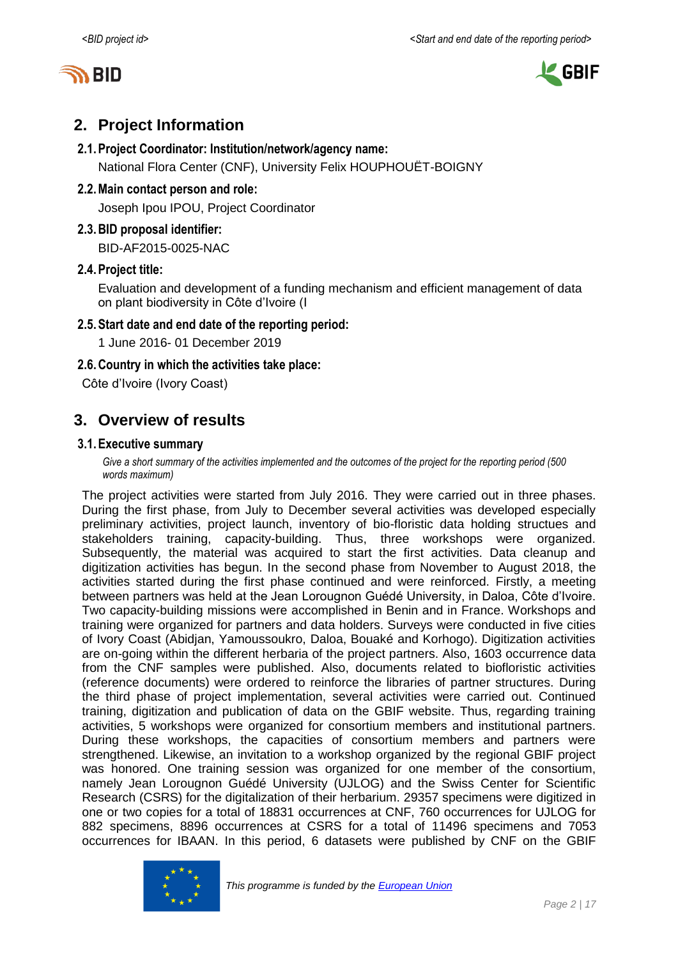



# <span id="page-1-0"></span>**2. Project Information**

#### **2.1.Project Coordinator: Institution/network/agency name:**

National Flora Center (CNF), University Felix HOUPHOUËT-BOIGNY

## **2.2.Main contact person and role:**

Joseph Ipou IPOU, Project Coordinator

## **2.3.BID proposal identifier:**

BID-AF2015-0025-NAC

## **2.4.Project title:**

Evaluation and development of a funding mechanism and efficient management of data on plant biodiversity in Côte d'Ivoire (I

## **2.5.Start date and end date of the reporting period:**

1 June 2016- 01 December 2019

**2.6.Country in which the activities take place:**

Côte d'Ivoire (Ivory Coast)

# <span id="page-1-1"></span>**3. Overview of results**

## **3.1.Executive summary**

*Give a short summary of the activities implemented and the outcomes of the project for the reporting period (500 words maximum)*

The project activities were started from July 2016. They were carried out in three phases. During the first phase, from July to December several activities was developed especially preliminary activities, project launch, inventory of bio-floristic data holding structues and stakeholders training, capacity-building. Thus, three workshops were organized. Subsequently, the material was acquired to start the first activities. Data cleanup and digitization activities has begun. In the second phase from November to August 2018, the activities started during the first phase continued and were reinforced. Firstly, a meeting between partners was held at the Jean Lorougnon Guédé University, in Daloa, Côte d'Ivoire. Two capacity-building missions were accomplished in Benin and in France. Workshops and training were organized for partners and data holders. Surveys were conducted in five cities of Ivory Coast (Abidjan, Yamoussoukro, Daloa, Bouaké and Korhogo). Digitization activities are on-going within the different herbaria of the project partners. Also, 1603 occurrence data from the CNF samples were published. Also, documents related to biofloristic activities (reference documents) were ordered to reinforce the libraries of partner structures. During the third phase of project implementation, several activities were carried out. Continued training, digitization and publication of data on the GBIF website. Thus, regarding training activities, 5 workshops were organized for consortium members and institutional partners. During these workshops, the capacities of consortium members and partners were strengthened. Likewise, an invitation to a workshop organized by the regional GBIF project was honored. One training session was organized for one member of the consortium, namely Jean Lorougnon Guédé University (UJLOG) and the Swiss Center for Scientific Research (CSRS) for the digitalization of their herbarium. 29357 specimens were digitized in one or two copies for a total of 18831 occurrences at CNF, 760 occurrences for UJLOG for 882 specimens, 8896 occurrences at CSRS for a total of 11496 specimens and 7053 occurrences for IBAAN. In this period, 6 datasets were published by CNF on the GBIF

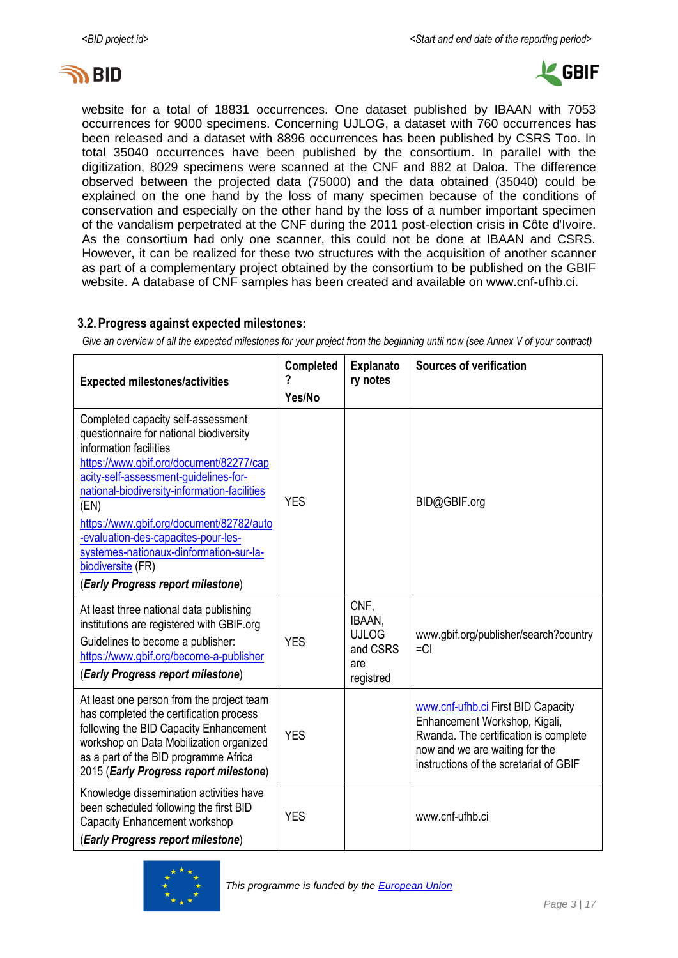



website for a total of 18831 occurrences. One dataset published by IBAAN with 7053 occurrences for 9000 specimens. Concerning UJLOG, a dataset with 760 occurrences has been released and a dataset with 8896 occurrences has been published by CSRS Too. In total 35040 occurrences have been published by the consortium. In parallel with the digitization, 8029 specimens were scanned at the CNF and 882 at Daloa. The difference observed between the projected data (75000) and the data obtained (35040) could be explained on the one hand by the loss of many specimen because of the conditions of conservation and especially on the other hand by the loss of a number important specimen of the vandalism perpetrated at the CNF during the 2011 post-election crisis in Côte d'Ivoire. As the consortium had only one scanner, this could not be done at IBAAN and CSRS. However, it can be realized for these two structures with the acquisition of another scanner as part of a complementary project obtained by the consortium to be published on the GBIF website. A database of CNF samples has been created and available on www.cnf-ufhb.ci.

## **3.2.Progress against expected milestones:**

*Give an overview of all the expected milestones for your project from the beginning until now (see Annex V of your contract)*

| <b>Expected milestones/activities</b>                                                                                                                                                                                                                                                                                                                                                                                                       | <b>Completed</b><br>7<br>Yes/No | <b>Explanato</b><br>ry notes                                   | Sources of verification                                                                                                                                                                  |
|---------------------------------------------------------------------------------------------------------------------------------------------------------------------------------------------------------------------------------------------------------------------------------------------------------------------------------------------------------------------------------------------------------------------------------------------|---------------------------------|----------------------------------------------------------------|------------------------------------------------------------------------------------------------------------------------------------------------------------------------------------------|
| Completed capacity self-assessment<br>questionnaire for national biodiversity<br>information facilities<br>https://www.gbif.org/document/82277/cap<br>acity-self-assessment-guidelines-for-<br>national-biodiversity-information-facilities<br>(EN)<br>https://www.gbif.org/document/82782/auto<br>-evaluation-des-capacites-pour-les-<br>systemes-nationaux-dinformation-sur-la-<br>biodiversite (FR)<br>(Early Progress report milestone) | <b>YES</b>                      |                                                                | BID@GBIF.org                                                                                                                                                                             |
| At least three national data publishing<br>institutions are registered with GBIF.org<br>Guidelines to become a publisher:<br>https://www.gbif.org/become-a-publisher<br>(Early Progress report milestone)                                                                                                                                                                                                                                   | <b>YES</b>                      | CNF,<br>IBAAN,<br><b>UJLOG</b><br>and CSRS<br>are<br>registred | www.gbif.org/publisher/search?country<br>$=$ CI                                                                                                                                          |
| At least one person from the project team<br>has completed the certification process<br>following the BID Capacity Enhancement<br>workshop on Data Mobilization organized<br>as a part of the BID programme Africa<br>2015 (Early Progress report milestone)                                                                                                                                                                                | <b>YES</b>                      |                                                                | www.cnf-ufhb.ci First BID Capacity<br>Enhancement Workshop, Kigali,<br>Rwanda. The certification is complete<br>now and we are waiting for the<br>instructions of the scretariat of GBIF |
| Knowledge dissemination activities have<br>been scheduled following the first BID<br>Capacity Enhancement workshop<br>(Early Progress report milestone)                                                                                                                                                                                                                                                                                     | <b>YES</b>                      |                                                                | www.cnf-ufhb.ci                                                                                                                                                                          |

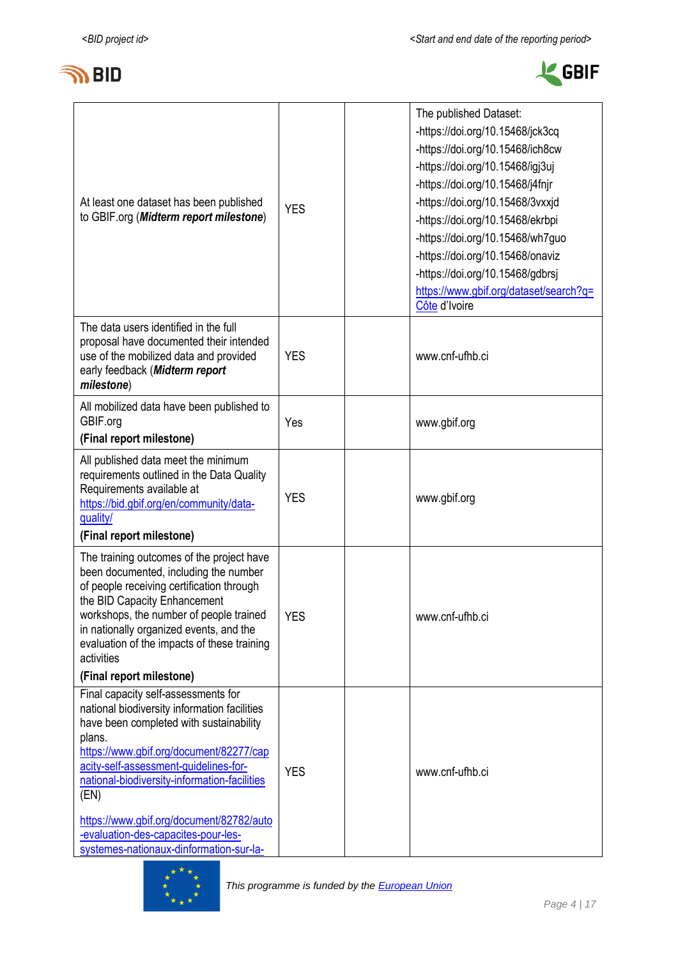



| At least one dataset has been published<br>to GBIF.org (Midterm report milestone)                                                                                                                                                                                                                                                                                                                                  | <b>YES</b> | The published Dataset:<br>-https://doi.org/10.15468/jck3cq<br>-https://doi.org/10.15468/ich8cw<br>-https://doi.org/10.15468/igj3uj<br>-https://doi.org/10.15468/j4fnjr<br>-https://doi.org/10.15468/3vxxjd<br>-https://doi.org/10.15468/ekrbpi<br>-https://doi.org/10.15468/wh7guo<br>-https://doi.org/10.15468/onaviz<br>-https://doi.org/10.15468/gdbrsj<br>https://www.gbif.org/dataset/search?q=<br>Côte d'Ivoire |
|--------------------------------------------------------------------------------------------------------------------------------------------------------------------------------------------------------------------------------------------------------------------------------------------------------------------------------------------------------------------------------------------------------------------|------------|-----------------------------------------------------------------------------------------------------------------------------------------------------------------------------------------------------------------------------------------------------------------------------------------------------------------------------------------------------------------------------------------------------------------------|
| The data users identified in the full<br>proposal have documented their intended<br>use of the mobilized data and provided<br>early feedback (Midterm report<br>milestone)                                                                                                                                                                                                                                         | <b>YES</b> | www.cnf-ufhb.ci                                                                                                                                                                                                                                                                                                                                                                                                       |
| All mobilized data have been published to<br>GBIF.org<br>(Final report milestone)                                                                                                                                                                                                                                                                                                                                  | Yes        | www.gbif.org                                                                                                                                                                                                                                                                                                                                                                                                          |
| All published data meet the minimum<br>requirements outlined in the Data Quality<br>Requirements available at<br>https://bid.gbif.org/en/community/data-<br>quality/<br>(Final report milestone)                                                                                                                                                                                                                   | <b>YES</b> | www.gbif.org                                                                                                                                                                                                                                                                                                                                                                                                          |
| The training outcomes of the project have<br>been documented, including the number<br>of people receiving certification through<br>the BID Capacity Enhancement<br>workshops, the number of people trained<br>in nationally organized events, and the<br>evaluation of the impacts of these training<br>activities<br>(Final report milestone)                                                                     | <b>YES</b> | www.cnf-ufhb.ci                                                                                                                                                                                                                                                                                                                                                                                                       |
| Final capacity self-assessments for<br>national biodiversity information facilities<br>have been completed with sustainability<br>plans.<br>https://www.gbif.org/document/82277/cap<br>acity-self-assessment-guidelines-for-<br>national-biodiversity-information-facilities<br>(EN)<br>https://www.gbif.org/document/82782/auto<br>-evaluation-des-capacites-pour-les-<br>systemes-nationaux-dinformation-sur-la- | <b>YES</b> | www.cnf-ufhb.ci                                                                                                                                                                                                                                                                                                                                                                                                       |

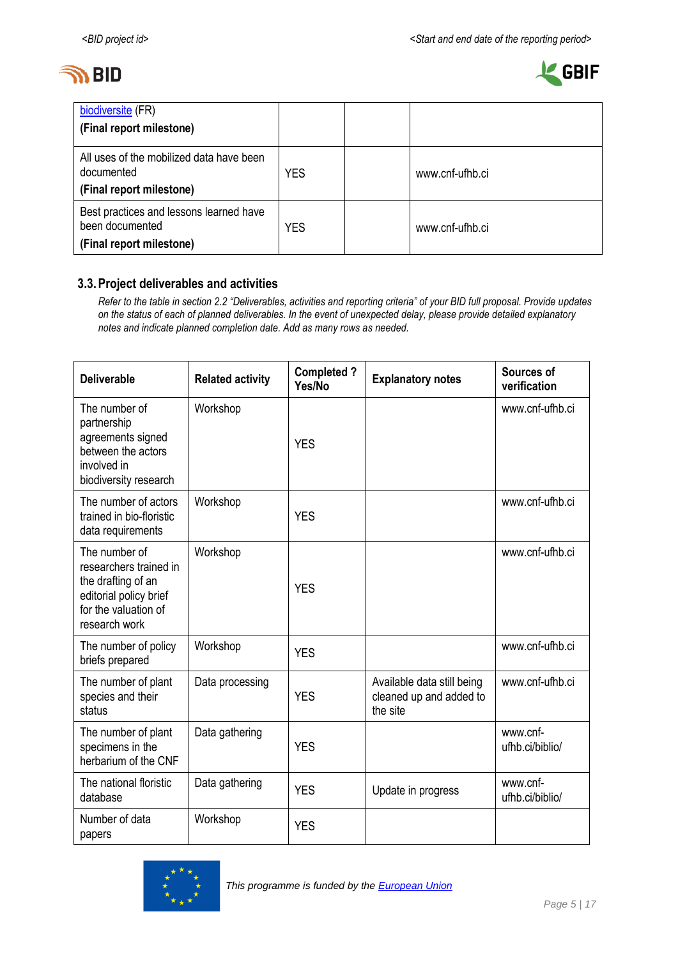



| biodiversite (FR)<br>(Final report milestone)                                          |            |                 |
|----------------------------------------------------------------------------------------|------------|-----------------|
| All uses of the mobilized data have been<br>documented<br>(Final report milestone)     | <b>YES</b> | www.cnf-ufhb.ci |
| Best practices and lessons learned have<br>been documented<br>(Final report milestone) | <b>YES</b> | www.cnf-ufhb.ci |

# **3.3.Project deliverables and activities**

*Refer to the table in section 2.2 "Deliverables, activities and reporting criteria" of your BID full proposal. Provide updates on the status of each of planned deliverables. In the event of unexpected delay, please provide detailed explanatory notes and indicate planned completion date. Add as many rows as needed.*

| <b>Deliverable</b>                                                                                                               | <b>Related activity</b> | <b>Completed?</b><br>Yes/No | <b>Explanatory notes</b>                                          | Sources of<br>verification  |
|----------------------------------------------------------------------------------------------------------------------------------|-------------------------|-----------------------------|-------------------------------------------------------------------|-----------------------------|
| The number of<br>partnership<br>agreements signed<br>between the actors<br>involved in<br>biodiversity research                  | Workshop                | <b>YES</b>                  |                                                                   | www.cnf-ufhb.ci             |
| The number of actors<br>trained in bio-floristic<br>data requirements                                                            | Workshop                | <b>YES</b>                  |                                                                   | www.cnf-ufhb.ci             |
| The number of<br>researchers trained in<br>the drafting of an<br>editorial policy brief<br>for the valuation of<br>research work | Workshop                | <b>YES</b>                  |                                                                   | www.cnf-ufhb.ci             |
| The number of policy<br>briefs prepared                                                                                          | Workshop                | <b>YES</b>                  |                                                                   | www.cnf-ufhb.ci             |
| The number of plant<br>species and their<br>status                                                                               | Data processing         | <b>YES</b>                  | Available data still being<br>cleaned up and added to<br>the site | www.cnf-ufhb.ci             |
| The number of plant<br>specimens in the<br>herbarium of the CNF                                                                  | Data gathering          | <b>YES</b>                  |                                                                   | www.cnf-<br>ufhb.ci/biblio/ |
| The national floristic<br>database                                                                                               | Data gathering          | <b>YES</b>                  | Update in progress                                                | www.cnf-<br>ufhb.ci/biblio/ |
| Number of data<br>papers                                                                                                         | Workshop                | <b>YES</b>                  |                                                                   |                             |

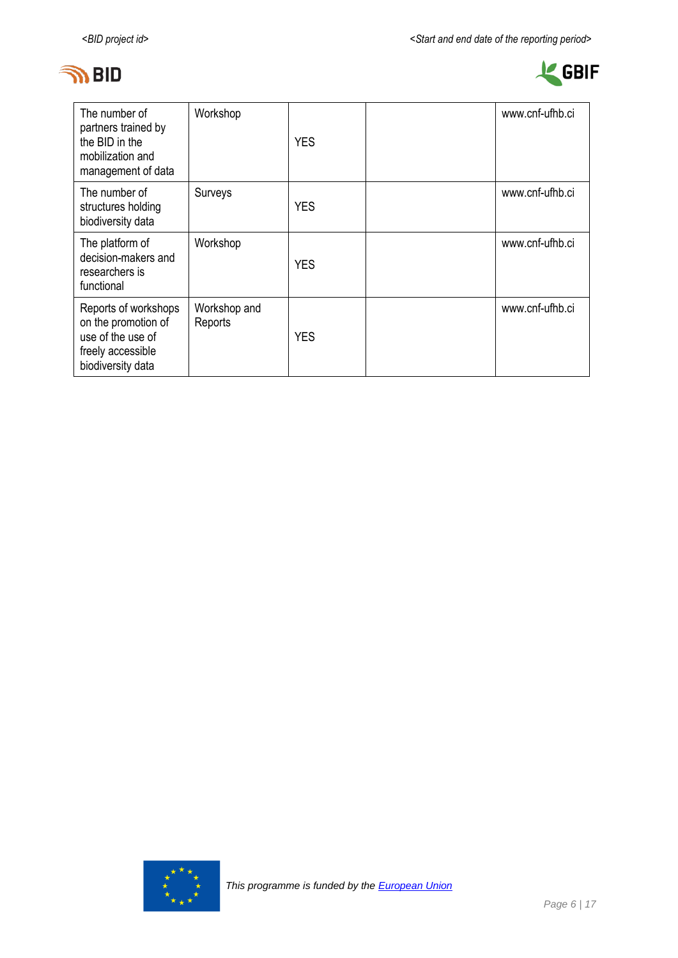



| The number of<br>partners trained by<br>the BID in the<br>mobilization and<br>management of data           | Workshop                | <b>YES</b> | www.cnf-ufhb.ci |
|------------------------------------------------------------------------------------------------------------|-------------------------|------------|-----------------|
| The number of<br>structures holding<br>biodiversity data                                                   | Surveys                 | <b>YES</b> | www.cnf-ufhb.ci |
| The platform of<br>decision-makers and<br>researchers is<br>functional                                     | Workshop                | <b>YES</b> | www.cnf-ufhb.ci |
| Reports of workshops<br>on the promotion of<br>use of the use of<br>freely accessible<br>biodiversity data | Workshop and<br>Reports | <b>YES</b> | www.cnf-ufhb.ci |

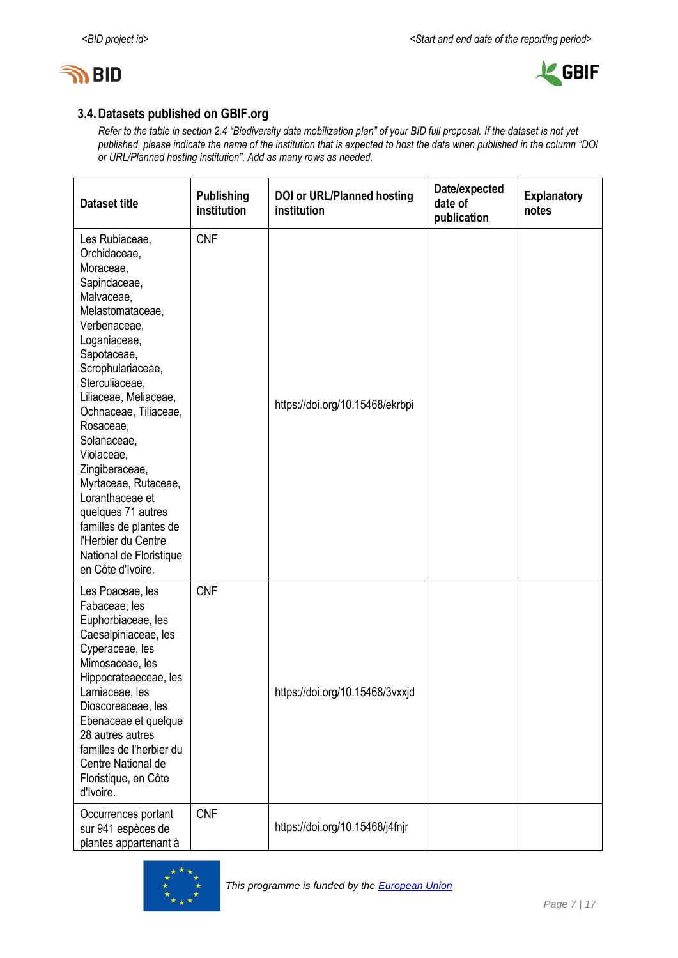



# **3.4.Datasets published on GBIF.org**

*Refer to the table in section 2.4 "Biodiversity data mobilization plan" of your BID full proposal. If the dataset is not yet published, please indicate the name of the institution that is expected to host the data when published in the column "DOI or URL/Planned hosting institution". Add as many rows as needed.*

| <b>Dataset title</b>                                                                                                                                                                                                                                                                                                                                                                                                                                                | <b>Publishing</b><br>institution | <b>DOI or URL/Planned hosting</b><br>institution | Date/expected<br>date of<br>publication | <b>Explanatory</b><br>notes |
|---------------------------------------------------------------------------------------------------------------------------------------------------------------------------------------------------------------------------------------------------------------------------------------------------------------------------------------------------------------------------------------------------------------------------------------------------------------------|----------------------------------|--------------------------------------------------|-----------------------------------------|-----------------------------|
| Les Rubiaceae,<br>Orchidaceae,<br>Moraceae,<br>Sapindaceae,<br>Malvaceae,<br>Melastomataceae,<br>Verbenaceae,<br>Loganiaceae,<br>Sapotaceae,<br>Scrophulariaceae,<br>Sterculiaceae,<br>Liliaceae, Meliaceae,<br>Ochnaceae, Tiliaceae,<br>Rosaceae,<br>Solanaceae,<br>Violaceae,<br>Zingiberaceae,<br>Myrtaceae, Rutaceae,<br>Loranthaceae et<br>quelques 71 autres<br>familles de plantes de<br>l'Herbier du Centre<br>National de Floristique<br>en Côte d'Ivoire. | <b>CNF</b>                       | https://doi.org/10.15468/ekrbpi                  |                                         |                             |
| Les Poaceae, les<br>Fabaceae, les<br>Euphorbiaceae, les<br>Caesalpiniaceae, les<br>Cyperaceae, les<br>Mimosaceae, les<br>Hippocrateaeceae, les<br>Lamiaceae, les<br>Dioscoreaceae, les<br>Ebenaceae et quelque<br>28 autres autres<br>familles de l'herbier du<br>Centre National de<br>Floristique, en Côte<br>d'Ivoire.                                                                                                                                           | <b>CNF</b>                       | https://doi.org/10.15468/3vxxjd                  |                                         |                             |
| Occurrences portant<br>sur 941 espèces de<br>plantes appartenant à                                                                                                                                                                                                                                                                                                                                                                                                  | <b>CNF</b>                       | https://doi.org/10.15468/j4fnjr                  |                                         |                             |

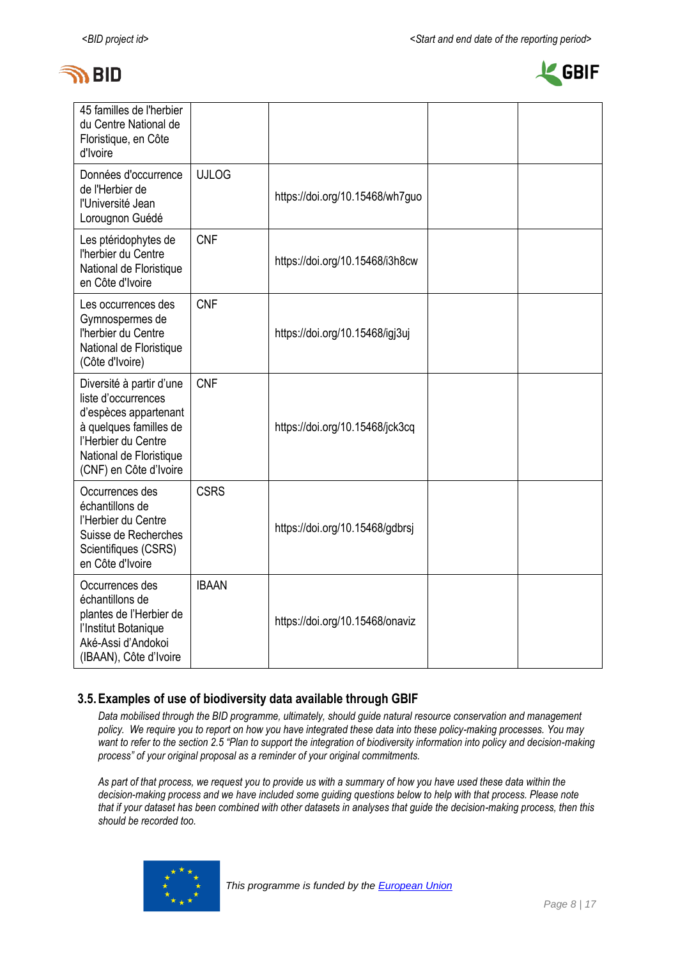



| 45 familles de l'herbier<br>du Centre National de<br>Floristique, en Côte<br>d'Ivoire                                                                                          |              |                                 |  |
|--------------------------------------------------------------------------------------------------------------------------------------------------------------------------------|--------------|---------------------------------|--|
| Données d'occurrence<br>de l'Herbier de<br>l'Université Jean<br>Lorougnon Guédé                                                                                                | <b>UJLOG</b> | https://doi.org/10.15468/wh7guo |  |
| Les ptéridophytes de<br>l'herbier du Centre<br>National de Floristique<br>en Côte d'Ivoire                                                                                     | <b>CNF</b>   | https://doi.org/10.15468/i3h8cw |  |
| Les occurrences des<br>Gymnospermes de<br>l'herbier du Centre<br>National de Floristique<br>(Côte d'Ivoire)                                                                    | <b>CNF</b>   | https://doi.org/10.15468/igj3uj |  |
| Diversité à partir d'une<br>liste d'occurrences<br>d'espèces appartenant<br>à quelques familles de<br>l'Herbier du Centre<br>National de Floristique<br>(CNF) en Côte d'Ivoire | <b>CNF</b>   | https://doi.org/10.15468/jck3cq |  |
| Occurrences des<br>échantillons de<br>l'Herbier du Centre<br>Suisse de Recherches<br>Scientifiques (CSRS)<br>en Côte d'Ivoire                                                  | <b>CSRS</b>  | https://doi.org/10.15468/gdbrsj |  |
| Occurrences des<br>échantillons de<br>plantes de l'Herbier de<br>l'Institut Botanique<br>Aké-Assi d'Andokoi<br>(IBAAN), Côte d'Ivoire                                          | <b>IBAAN</b> | https://doi.org/10.15468/onaviz |  |

#### **3.5.Examples of use of biodiversity data available through GBIF**

*Data mobilised through the BID programme, ultimately, should guide natural resource conservation and management policy. We require you to report on how you have integrated these data into these policy-making processes. You may*  want to refer to the section 2.5 "Plan to support the integration of biodiversity information into policy and decision-making *process" of your original proposal as a reminder of your original commitments.* 

*As part of that process, we request you to provide us with a summary of how you have used these data within the decision-making process and we have included some guiding questions below to help with that process. Please note that if your dataset has been combined with other datasets in analyses that guide the decision-making process, then this should be recorded too.* 

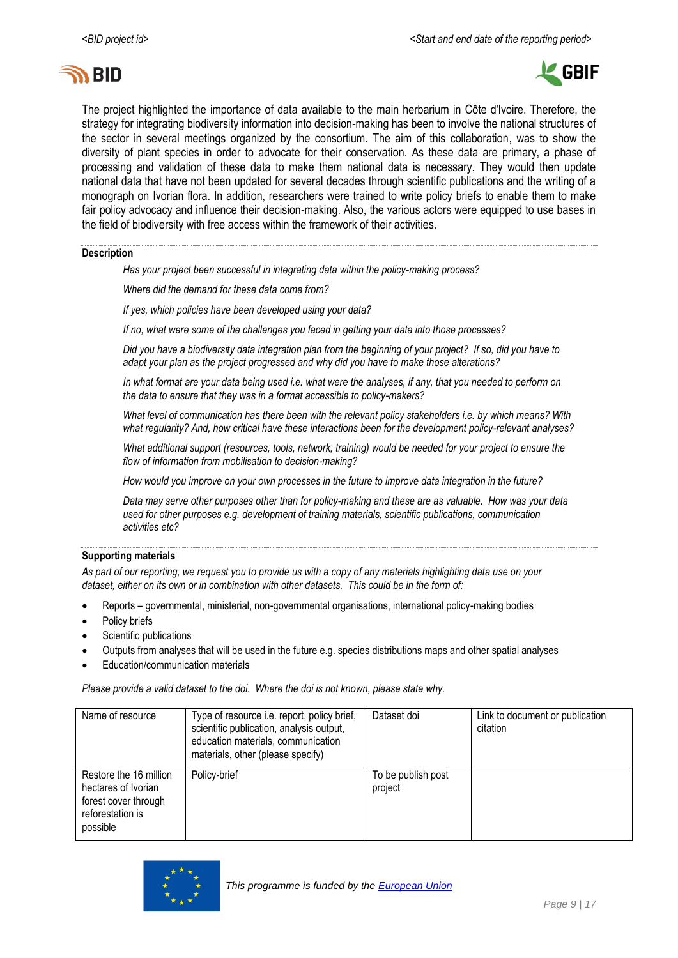



The project highlighted the importance of data available to the main herbarium in Côte d'Ivoire. Therefore, the strategy for integrating biodiversity information into decision-making has been to involve the national structures of the sector in several meetings organized by the consortium. The aim of this collaboration, was to show the diversity of plant species in order to advocate for their conservation. As these data are primary, a phase of processing and validation of these data to make them national data is necessary. They would then update national data that have not been updated for several decades through scientific publications and the writing of a monograph on Ivorian flora. In addition, researchers were trained to write policy briefs to enable them to make fair policy advocacy and influence their decision-making. Also, the various actors were equipped to use bases in the field of biodiversity with free access within the framework of their activities.

#### **Description**

*Has your project been successful in integrating data within the policy-making process?* 

*Where did the demand for these data come from?* 

*If yes, which policies have been developed using your data?* 

*If no, what were some of the challenges you faced in getting your data into those processes?*

*Did you have a biodiversity data integration plan from the beginning of your project? If so, did you have to adapt your plan as the project progressed and why did you have to make those alterations?* 

*In what format are your data being used i.e. what were the analyses, if any, that you needed to perform on the data to ensure that they was in a format accessible to policy-makers?* 

*What level of communication has there been with the relevant policy stakeholders i.e. by which means? With what regularity? And, how critical have these interactions been for the development policy-relevant analyses?* 

*What additional support (resources, tools, network, training) would be needed for your project to ensure the flow of information from mobilisation to decision-making?* 

*How would you improve on your own processes in the future to improve data integration in the future?* 

*Data may serve other purposes other than for policy-making and these are as valuable. How was your data used for other purposes e.g. development of training materials, scientific publications, communication activities etc?*

#### **Supporting materials**

*As part of our reporting, we request you to provide us with a copy of any materials highlighting data use on your dataset, either on its own or in combination with other datasets. This could be in the form of:*

- Reports governmental, ministerial, non-governmental organisations, international policy-making bodies
- Policy briefs
- Scientific publications
- Outputs from analyses that will be used in the future e.g. species distributions maps and other spatial analyses
- Education/communication materials

*Please provide a valid dataset to the doi. Where the doi is not known, please state why.*

| Name of resource                                                                                      | Type of resource i.e. report, policy brief,<br>scientific publication, analysis output,<br>education materials, communication<br>materials, other (please specify) | Dataset doi                   | Link to document or publication<br>citation |
|-------------------------------------------------------------------------------------------------------|--------------------------------------------------------------------------------------------------------------------------------------------------------------------|-------------------------------|---------------------------------------------|
| Restore the 16 million<br>hectares of Ivorian<br>forest cover through<br>reforestation is<br>possible | Policy-brief                                                                                                                                                       | To be publish post<br>project |                                             |

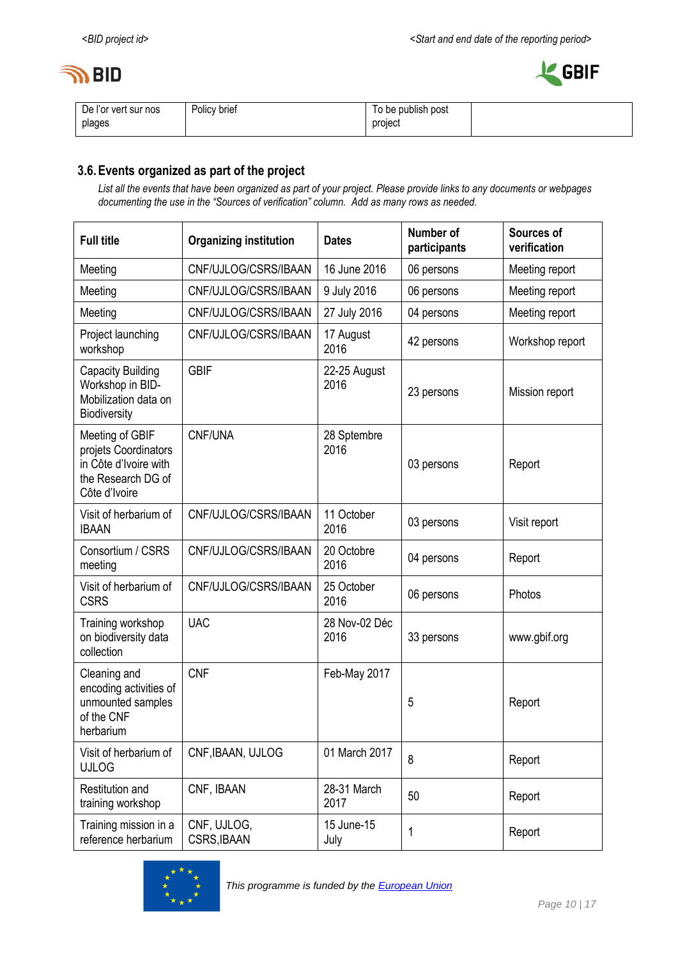



| De l'or vert sur nos | Policy brief | .<br>To be publish post |  |
|----------------------|--------------|-------------------------|--|
| plages               |              | project                 |  |

## **3.6.Events organized as part of the project**

*List all the events that have been organized as part of your project. Please provide links to any documents or webpages documenting the use in the "Sources of verification" column. Add as many rows as needed.*

| <b>Full title</b>                                                                                       | <b>Organizing institution</b> | <b>Dates</b>          | Number of<br>participants | Sources of<br>verification |
|---------------------------------------------------------------------------------------------------------|-------------------------------|-----------------------|---------------------------|----------------------------|
| Meeting                                                                                                 | CNF/UJLOG/CSRS/IBAAN          | 16 June 2016          | 06 persons                | Meeting report             |
| Meeting                                                                                                 | CNF/UJLOG/CSRS/IBAAN          | 9 July 2016           | 06 persons                | Meeting report             |
| Meeting                                                                                                 | CNF/UJLOG/CSRS/IBAAN          | 27 July 2016          | 04 persons                | Meeting report             |
| Project launching<br>workshop                                                                           | CNF/UJLOG/CSRS/IBAAN          | 17 August<br>2016     | 42 persons                | Workshop report            |
| <b>Capacity Building</b><br>Workshop in BID-<br>Mobilization data on<br><b>Biodiversity</b>             | <b>GBIF</b>                   | 22-25 August<br>2016  | 23 persons                | Mission report             |
| Meeting of GBIF<br>projets Coordinators<br>in Côte d'Ivoire with<br>the Research DG of<br>Côte d'Ivoire | CNF/UNA                       | 28 Sptembre<br>2016   | 03 persons                | Report                     |
| Visit of herbarium of<br><b>IBAAN</b>                                                                   | CNF/UJLOG/CSRS/IBAAN          | 11 October<br>2016    | 03 persons                | Visit report               |
| Consortium / CSRS<br>meeting                                                                            | CNF/UJLOG/CSRS/IBAAN          | 20 Octobre<br>2016    | 04 persons                | Report                     |
| Visit of herbarium of<br><b>CSRS</b>                                                                    | CNF/UJLOG/CSRS/IBAAN          | 25 October<br>2016    | 06 persons                | Photos                     |
| Training workshop<br>on biodiversity data<br>collection                                                 | <b>UAC</b>                    | 28 Nov-02 Déc<br>2016 | 33 persons                | www.gbif.org               |
| Cleaning and<br>encoding activities of<br>unmounted samples<br>of the CNF<br>herbarium                  | <b>CNF</b>                    | Feb-May 2017          | 5                         | Report                     |
| Visit of herbarium of<br><b>UJLOG</b>                                                                   | CNF, IBAAN, UJLOG             | 01 March 2017         | 8                         | Report                     |
| Restitution and<br>training workshop                                                                    | CNF, IBAAN                    | 28-31 March<br>2017   | 50                        | Report                     |
| Training mission in a<br>reference herbarium                                                            | CNF, UJLOG,<br>CSRS, IBAAN    | 15 June-15<br>July    | 1                         | Report                     |

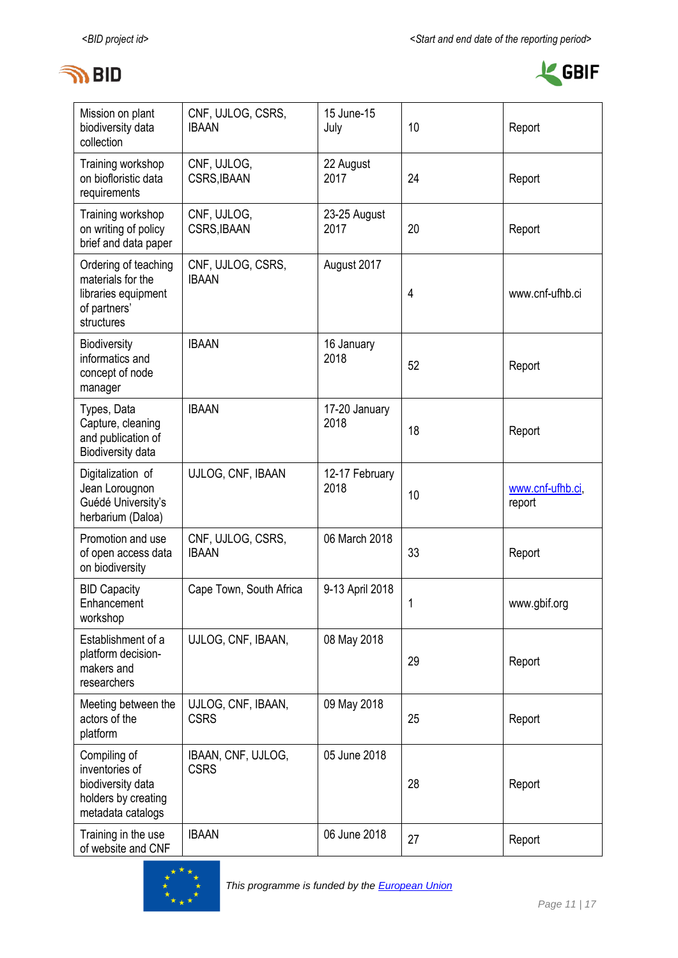

r



| Mission on plant<br>biodiversity data<br>collection                                             | CNF, UJLOG, CSRS,<br><b>IBAAN</b> | 15 June-15<br>July     | 10 | Report                     |
|-------------------------------------------------------------------------------------------------|-----------------------------------|------------------------|----|----------------------------|
| Training workshop<br>on biofloristic data<br>requirements                                       | CNF, UJLOG,<br>CSRS, IBAAN        | 22 August<br>2017      | 24 | Report                     |
| Training workshop<br>on writing of policy<br>brief and data paper                               | CNF, UJLOG,<br>CSRS, IBAAN        | 23-25 August<br>2017   | 20 | Report                     |
| Ordering of teaching<br>materials for the<br>libraries equipment<br>of partners'<br>structures  | CNF, UJLOG, CSRS,<br><b>IBAAN</b> | August 2017            | 4  | www.cnf-ufhb.ci            |
| Biodiversity<br>informatics and<br>concept of node<br>manager                                   | <b>IBAAN</b>                      | 16 January<br>2018     | 52 | Report                     |
| Types, Data<br>Capture, cleaning<br>and publication of<br>Biodiversity data                     | <b>IBAAN</b>                      | 17-20 January<br>2018  | 18 | Report                     |
| Digitalization of<br>Jean Lorougnon<br>Guédé University's<br>herbarium (Daloa)                  | UJLOG, CNF, IBAAN                 | 12-17 February<br>2018 | 10 | www.cnf-ufhb.ci,<br>report |
| Promotion and use<br>of open access data<br>on biodiversity                                     | CNF, UJLOG, CSRS,<br><b>IBAAN</b> | 06 March 2018          | 33 | Report                     |
| <b>BID Capacity</b><br>Enhancement<br>workshop                                                  | Cape Town, South Africa           | 9-13 April 2018        | 1  | www.gbif.org               |
| Establishment of a<br>platform decision-<br>makers and<br>researchers                           | UJLOG, CNF, IBAAN,                | 08 May 2018            | 29 | Report                     |
| Meeting between the<br>actors of the<br>platform                                                | UJLOG, CNF, IBAAN,<br><b>CSRS</b> | 09 May 2018            | 25 | Report                     |
| Compiling of<br>inventories of<br>biodiversity data<br>holders by creating<br>metadata catalogs | IBAAN, CNF, UJLOG,<br><b>CSRS</b> | 05 June 2018           | 28 | Report                     |
| Training in the use<br>of website and CNF                                                       | <b>IBAAN</b>                      | 06 June 2018           | 27 | Report                     |

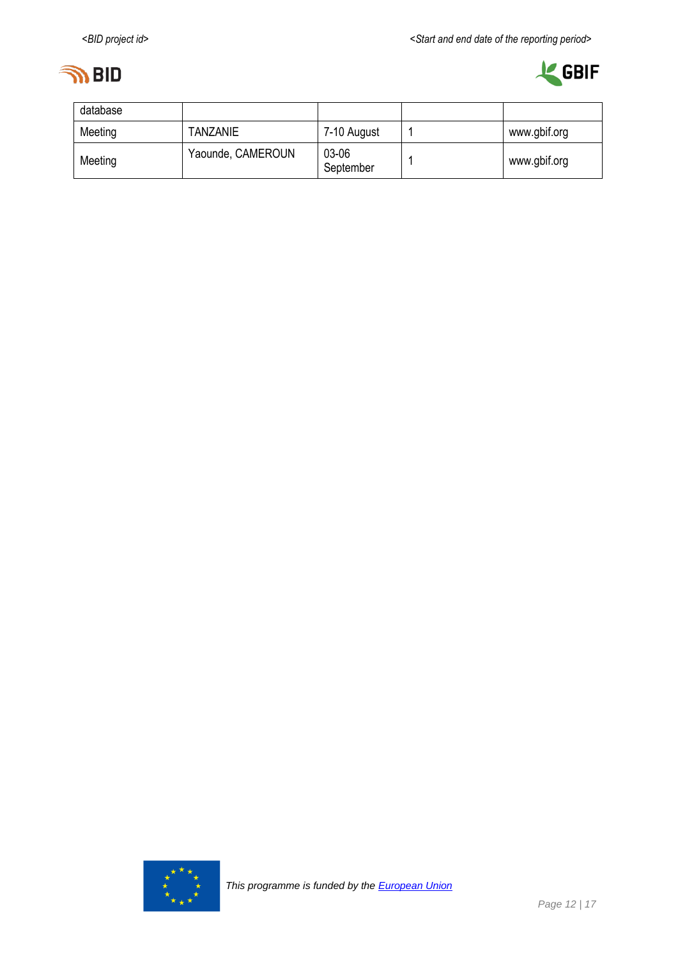



| database |                   |                    |              |
|----------|-------------------|--------------------|--------------|
| Meeting  | <b>TANZANIE</b>   | 7-10 August        | www.gbif.org |
| Meeting  | Yaounde, CAMEROUN | 03-06<br>September | www.gbif.org |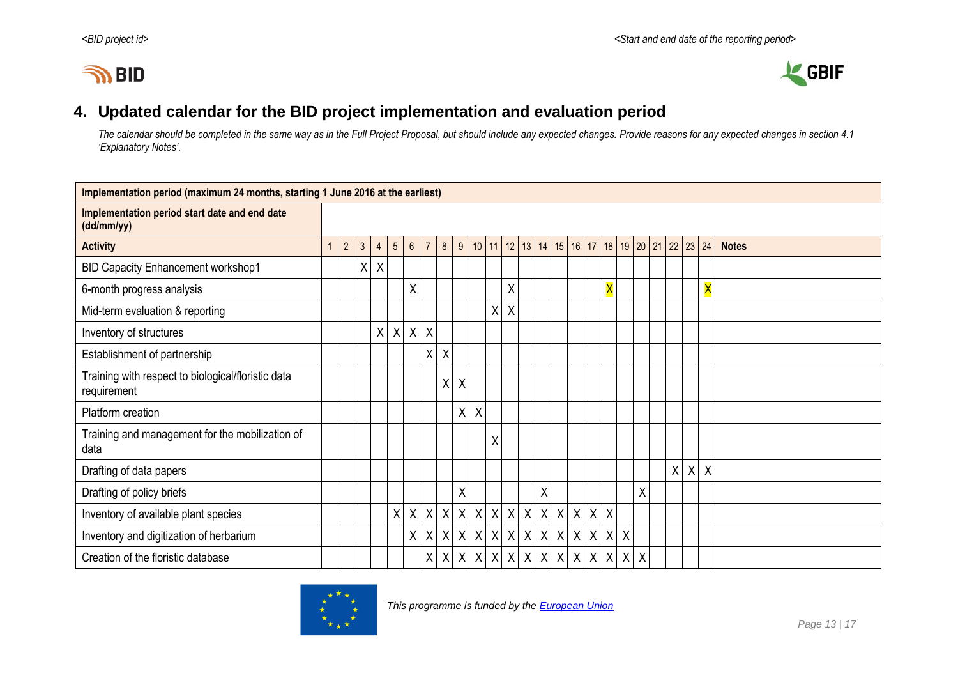# **IN BID**



# **4. Updated calendar for the BID project implementation and evaluation period**

*The calendar should be completed in the same way as in the Full Project Proposal, but should include any expected changes. Provide reasons for any expected changes in section 4.1 'Explanatory Notes'.*

<span id="page-12-0"></span>

| Implementation period (maximum 24 months, starting 1 June 2016 at the earliest) |                |                |                |                |                 |                |                |         |              |         |                  |                  |         |            |                  |                                                                              |                         |         |                           |   |              |                         |
|---------------------------------------------------------------------------------|----------------|----------------|----------------|----------------|-----------------|----------------|----------------|---------|--------------|---------|------------------|------------------|---------|------------|------------------|------------------------------------------------------------------------------|-------------------------|---------|---------------------------|---|--------------|-------------------------|
| Implementation period start date and end date<br>(dd/mm/yy)                     |                |                |                |                |                 |                |                |         |              |         |                  |                  |         |            |                  |                                                                              |                         |         |                           |   |              |                         |
| <b>Activity</b>                                                                 | $\overline{1}$ | $\overline{2}$ | $\mathfrak{Z}$ | $\overline{4}$ | $5\phantom{.0}$ | $6\phantom{1}$ | $\overline{7}$ | 8       |              |         |                  |                  |         |            |                  | 9   10   11   12   13   14   15   16   17   18   19   20   21   22   23   24 |                         |         |                           |   |              | <b>Notes</b>            |
| BID Capacity Enhancement workshop1                                              |                |                | $\mathsf{X}$   | X              |                 |                |                |         |              |         |                  |                  |         |            |                  |                                                                              |                         |         |                           |   |              |                         |
| 6-month progress analysis                                                       |                |                |                |                |                 | X              |                |         |              |         |                  | Χ                |         |            |                  |                                                                              | $\overline{\mathsf{X}}$ |         |                           |   |              | $\overline{\mathsf{x}}$ |
| Mid-term evaluation & reporting                                                 |                |                |                |                |                 |                |                |         |              |         | Χ                | X                |         |            |                  |                                                                              |                         |         |                           |   |              |                         |
| Inventory of structures                                                         |                |                |                | Χ              | X               | $\sf X$        | Χ              |         |              |         |                  |                  |         |            |                  |                                                                              |                         |         |                           |   |              |                         |
| Establishment of partnership                                                    |                |                |                |                |                 |                | χ              | Χ       |              |         |                  |                  |         |            |                  |                                                                              |                         |         |                           |   |              |                         |
| Training with respect to biological/floristic data<br>requirement               |                |                |                |                |                 |                |                | Χ       | X            |         |                  |                  |         |            |                  |                                                                              |                         |         |                           |   |              |                         |
| Platform creation                                                               |                |                |                |                |                 |                |                |         | $\mathsf{X}$ | $\sf X$ |                  |                  |         |            |                  |                                                                              |                         |         |                           |   |              |                         |
| Training and management for the mobilization of<br>data                         |                |                |                |                |                 |                |                |         |              |         | X                |                  |         |            |                  |                                                                              |                         |         |                           |   |              |                         |
| Drafting of data papers                                                         |                |                |                |                |                 |                |                |         |              |         |                  |                  |         |            |                  |                                                                              |                         |         |                           | X | $\mathsf{X}$ | $\sf X$                 |
| Drafting of policy briefs                                                       |                |                |                |                |                 |                |                |         | X            |         |                  |                  |         | X          |                  |                                                                              |                         |         | X                         |   |              |                         |
| Inventory of available plant species                                            |                |                |                |                | X               | $\sf X$        | X              | $\sf X$ |              | $X$ $X$ | $\boldsymbol{X}$ | $\boldsymbol{X}$ |         | $x \mid x$ | $\boldsymbol{X}$ | X                                                                            | $X$ $X$                 |         |                           |   |              |                         |
| Inventory and digitization of herbarium                                         |                |                |                |                |                 | X              | X              | $\sf X$ |              | $X$ $X$ | $\boldsymbol{X}$ | $\boldsymbol{X}$ |         | X X        | $\boldsymbol{X}$ |                                                                              | X X X                   | $\sf X$ |                           |   |              |                         |
| Creation of the floristic database                                              |                |                |                |                |                 |                | X              | X       | $\mathsf{X}$ | $\sf X$ | X                | $\sf X$          | $\sf X$ | $\sf X$    | $\mathsf{X}$     | $\boldsymbol{\mathsf{X}}$                                                    | $X$ $X$                 | $\sf X$ | $\boldsymbol{\mathsf{X}}$ |   |              |                         |

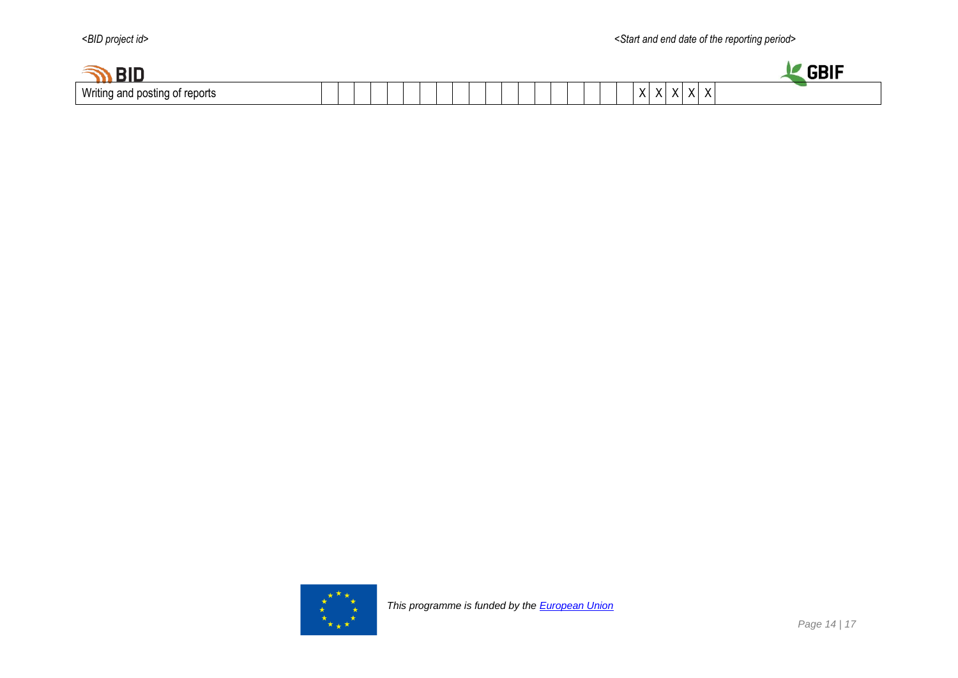

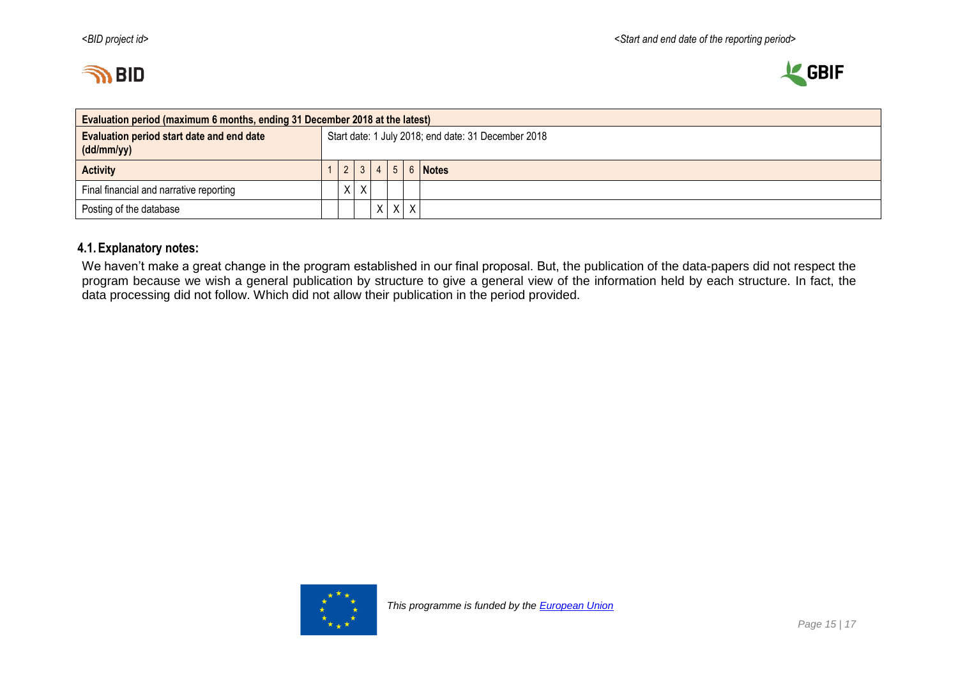



| Evaluation period (maximum 6 months, ending 31 December 2018 at the latest) |                                                     |  |         |  |  |             |         |  |  |  |  |  |
|-----------------------------------------------------------------------------|-----------------------------------------------------|--|---------|--|--|-------------|---------|--|--|--|--|--|
| Evaluation period start date and end date<br>(dd/mm/yy)                     | Start date: 1 July 2018; end date: 31 December 2018 |  |         |  |  |             |         |  |  |  |  |  |
| <b>Activity</b>                                                             |                                                     |  |         |  |  |             | 6 Notes |  |  |  |  |  |
| Final financial and narrative reporting                                     |                                                     |  | $X$ $X$ |  |  |             |         |  |  |  |  |  |
| Posting of the database                                                     |                                                     |  |         |  |  | $X$ $X$ $X$ |         |  |  |  |  |  |

## **4.1.Explanatory notes:**

We haven't make a great change in the program established in our final proposal. But, the publication of the data-papers did not respect the program because we wish a general publication by structure to give a general view of the information held by each structure. In fact, the data processing did not follow. Which did not allow their publication in the period provided.

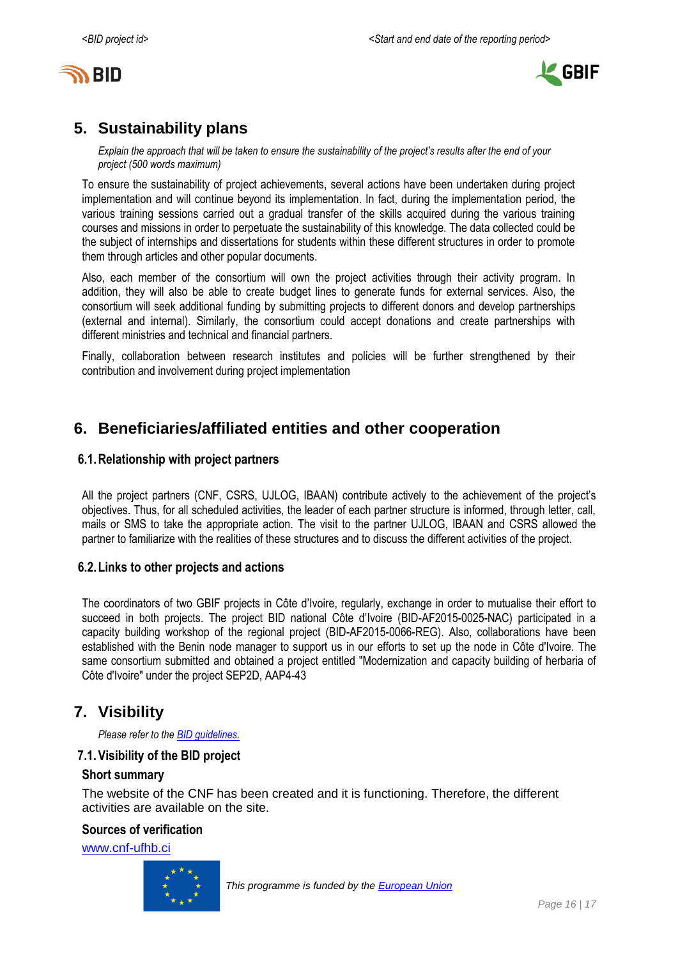



# <span id="page-15-0"></span>**5. Sustainability plans**

*Explain the approach that will be taken to ensure the sustainability of the project's results after the end of your project (500 words maximum)*

To ensure the sustainability of project achievements, several actions have been undertaken during project implementation and will continue beyond its implementation. In fact, during the implementation period, the various training sessions carried out a gradual transfer of the skills acquired during the various training courses and missions in order to perpetuate the sustainability of this knowledge. The data collected could be the subject of internships and dissertations for students within these different structures in order to promote them through articles and other popular documents.

Also, each member of the consortium will own the project activities through their activity program. In addition, they will also be able to create budget lines to generate funds for external services. Also, the consortium will seek additional funding by submitting projects to different donors and develop partnerships (external and internal). Similarly, the consortium could accept donations and create partnerships with different ministries and technical and financial partners.

Finally, collaboration between research institutes and policies will be further strengthened by their contribution and involvement during project implementation

# <span id="page-15-1"></span>**6. Beneficiaries/affiliated entities and other cooperation**

#### **6.1.Relationship with project partners**

All the project partners (CNF, CSRS, UJLOG, IBAAN) contribute actively to the achievement of the project's objectives. Thus, for all scheduled activities, the leader of each partner structure is informed, through letter, call, mails or SMS to take the appropriate action. The visit to the partner UJLOG, IBAAN and CSRS allowed the partner to familiarize with the realities of these structures and to discuss the different activities of the project.

#### **6.2.Links to other projects and actions**

The coordinators of two GBIF projects in Côte d'Ivoire, regularly, exchange in order to mutualise their effort to succeed in both projects. The project BID national Côte d'Ivoire (BID-AF2015-0025-NAC) participated in a capacity building workshop of the regional project (BID-AF2015-0066-REG). Also, collaborations have been established with the Benin node manager to support us in our efforts to set up the node in Côte d'Ivoire. The same consortium submitted and obtained a project entitled "Modernization and capacity building of herbaria of Côte d'Ivoire" under the project SEP2D, AAP4-43

# <span id="page-15-2"></span>**7. Visibility**

#### *Please refer to th[e BID guidelines.](http://bid.gbif.org/en/community/communication-guidelines/)*

#### **7.1.Visibility of the BID project**

#### **Short summary**

The website of the CNF has been created and it is functioning. Therefore, the different activities are available on the site.

## **Sources of verification**

[www.cnf-ufhb.ci](http://www.cnf-ufhb.ci/)